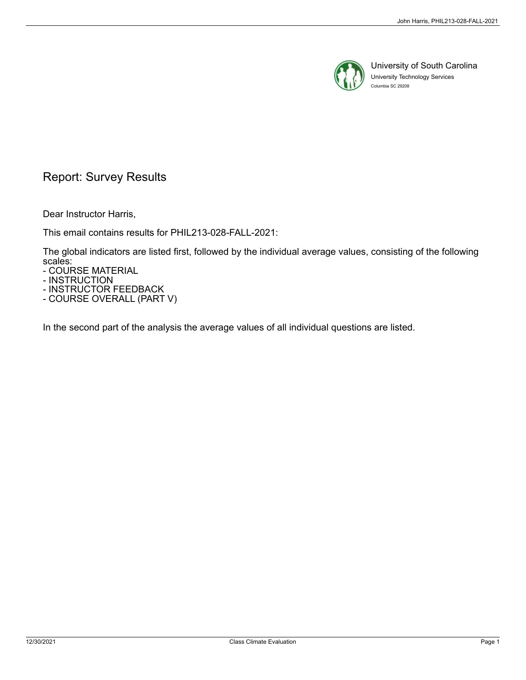

University of South Carolina University Technology Services Columbia SC 29208

# Report: Survey Results

Dear Instructor Harris,

This email contains results for PHIL213-028-FALL-2021:

The global indicators are listed first, followed by the individual average values, consisting of the following scales:

- COURSE MATERIAL

- INSTRUCTION

- INSTRUCTOR FEEDBACK - COURSE OVERALL (PART V)

In the second part of the analysis the average values of all individual questions are listed.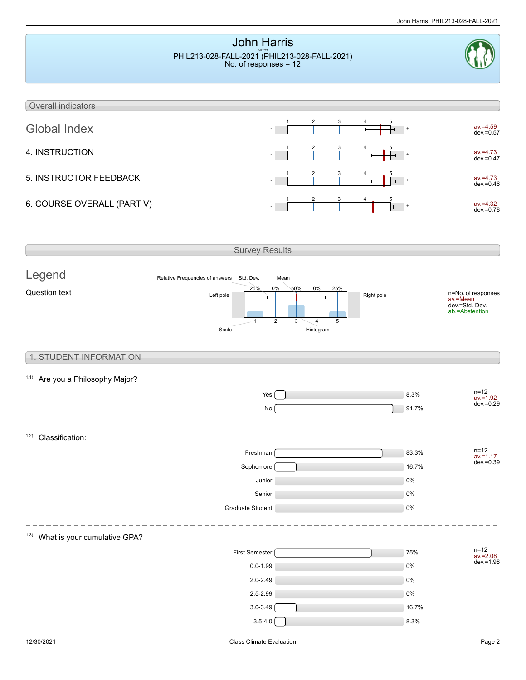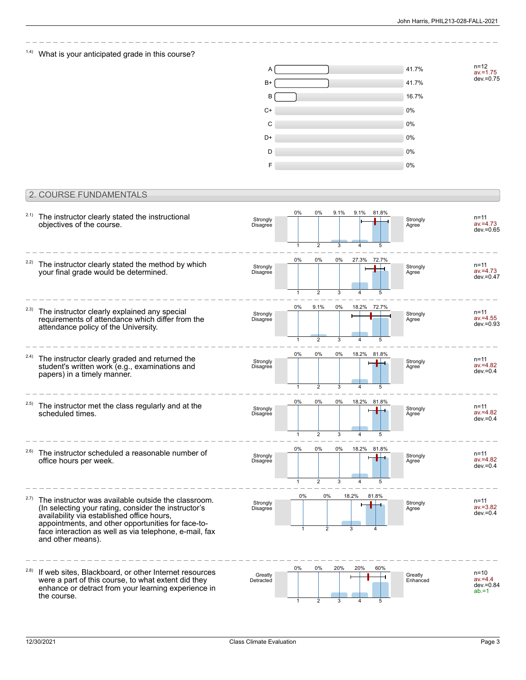n=12 av.=1.75 dev.=0.75

## $1.4$ ) What is your anticipated grade in this course?



### 2. COURSE FUNDAMENTALS

| 2.1)  | The instructor clearly stated the instructional<br>objectives of the course.                                                                                                                                                                                                                   | Strongly<br>Disagree | 0%<br>$\mathbf{1}$    | 0%<br>$\overline{2}$                     | 9.1%<br>3    | 9.1%<br>4  | 81.8%<br>5  | Strongly<br>Agree   | $n = 11$<br>$av = 4.73$<br>$dev = 0.65$            |
|-------|------------------------------------------------------------------------------------------------------------------------------------------------------------------------------------------------------------------------------------------------------------------------------------------------|----------------------|-----------------------|------------------------------------------|--------------|------------|-------------|---------------------|----------------------------------------------------|
| 2.2)  | The instructor clearly stated the method by which<br>your final grade would be determined.                                                                                                                                                                                                     | Strongly<br>Disagree | 0%                    | 0%                                       | 0%           | 27.3%      | 72.7%       | Strongly<br>Agree   | $n = 11$<br>$av = 4.73$<br>dev.=0.47               |
| 2.3)  | The instructor clearly explained any special<br>requirements of attendance which differ from the<br>attendance policy of the University.                                                                                                                                                       | Strongly<br>Disagree | $\mathbf{1}$<br>0%    | $\overline{2}$<br>9.1%<br>$\overline{2}$ | 3<br>0%<br>3 | 18.2%      | 72.7%       | Strongly<br>Agree   | n=11<br>$av = 4.55$<br>$dev = 0.93$                |
| 2.4)  | The instructor clearly graded and returned the<br>student's written work (e.g., examinations and<br>papers) in a timely manner.                                                                                                                                                                | Strongly<br>Disagree | $0\%$<br>$\mathbf{1}$ | $0\%$<br>$\overline{2}$                  | 0%<br>3      |            | 18.2% 81.8% | Strongly<br>Agree   | n=11<br>$av = 4.82$<br>$dev=0.4$                   |
| (2.5) | The instructor met the class regularly and at the<br>scheduled times.                                                                                                                                                                                                                          | Strongly<br>Disagree | $0\%$<br>1            | 0%<br>$\overline{2}$                     | $0\%$<br>3   |            | 18.2% 81.8% | Strongly<br>Agree   | $n = 11$<br>$av = 4.82$<br>$dev = 0.4$             |
| (2.6) | The instructor scheduled a reasonable number of<br>office hours per week.                                                                                                                                                                                                                      | Strongly<br>Disagree | 0%<br>1               | 0%<br>$\overline{2}$                     | 0%<br>3      | 18.2%      | 81.8%       | Strongly<br>Agree   | n=11<br>$av = 4.82$<br>$dev = 0.4$                 |
| 2.7)  | The instructor was available outside the classroom.<br>(In selecting your rating, consider the instructor's<br>availability via established office hours,<br>appointments, and other opportunities for face-to-<br>face interaction as well as via telephone, e-mail, fax<br>and other means). | Strongly<br>Disagree | $0\%$                 | $0\%$<br>2                               |              | 18.2%<br>3 | 81.8%       | Strongly<br>Agree   | $n = 11$<br>$av = 3.82$<br>$dev = 0.4$             |
| (2.8) | If web sites, Blackboard, or other Internet resources<br>were a part of this course, to what extent did they<br>enhance or detract from your learning experience in<br>the course.                                                                                                             | Greatly<br>Detracted | $0\%$<br>$\mathbf{1}$ | 0%<br>$\overline{2}$                     | 20%<br>3     | 20%<br>4   | 60%<br>5    | Greatly<br>Enhanced | $n = 10$<br>$av = 4.4$<br>$dev = 0.84$<br>$ab = 1$ |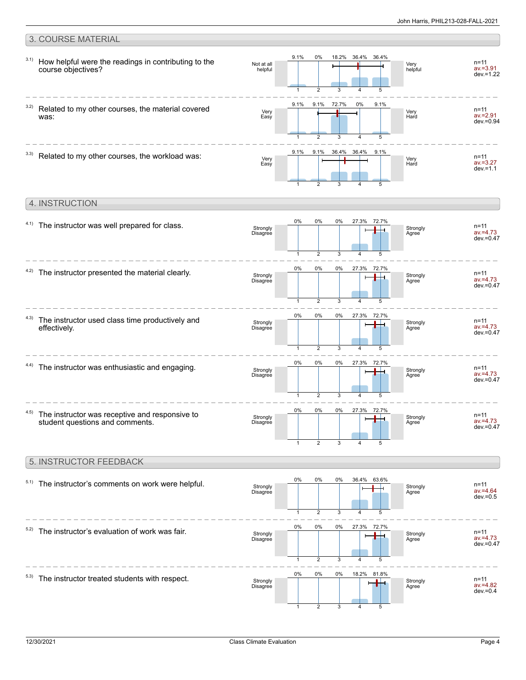#### 3. COURSE MATERIAL How helpful were the readings in contributing to the course objectives? 3.1) Very helpful Not at all helpful n=11 av.=3.91 dev.=1.22 9.1% 1 0% 2 18.2% 3 36.4% 4 36.4% 5 Related to my other courses, the material covered was: 3.2) Very Hard Very Easy n=11 av.=2.91  $dev = 0.94$ 9.1% 1 9.1%  $\mathcal{D}$ 72.7% 3 0%  $\overline{A}$ 9.1% 5  $3.3)$  Related to my other courses, the workload was: Very Hard Very Easy n=11 av.=3.27  $dev = 1.1$ 9.1% 1 9.1% 2 36.4% 3 36.4% 4 9.1% 5 4. INSTRUCTION



3 1 2 4 0% 0% 0% 18.2% 81.8%  $5.3)$  The instructor treated students with respect. Strongly Disagree ப

1

2

3

4

Strongly Disagree

av.=4.73 dev.=0.47

n=11 av.=4.82  $dev = 0.4$ 

**Strongly** Agree

**Strongly Agree** 

5

5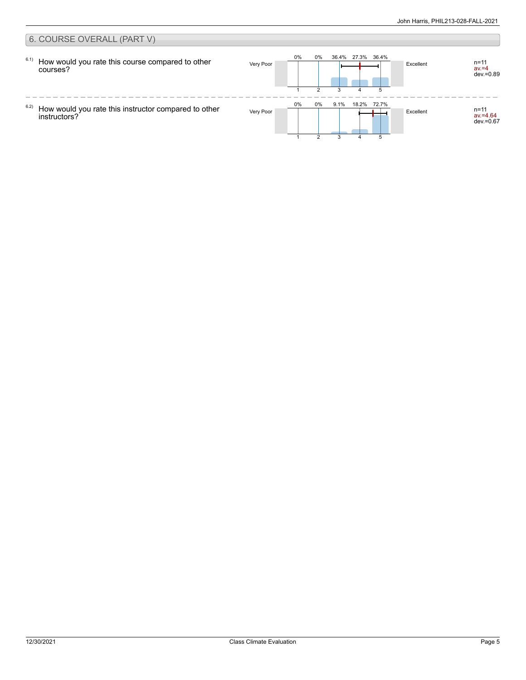#### 6. COURSE OVERALL (PART V) 0% 0% 36.4% 27.3% 36.4% 6.1) n=11<br>av.=4 How would you rate this course compared to other Very Poor **Excellent** n=11 courses? dev.=0.89 2 3 4 5 1  $\frac{1}{2}$  $- - - -$ 0% 0% 9.1% 18.2% 72.7% 6.2) Very Poor Excellent n=11 How would you rate this instructor compared to other av.=4.64 dev.=0.67 instructors?  $\mathcal{D}$ 3 51 4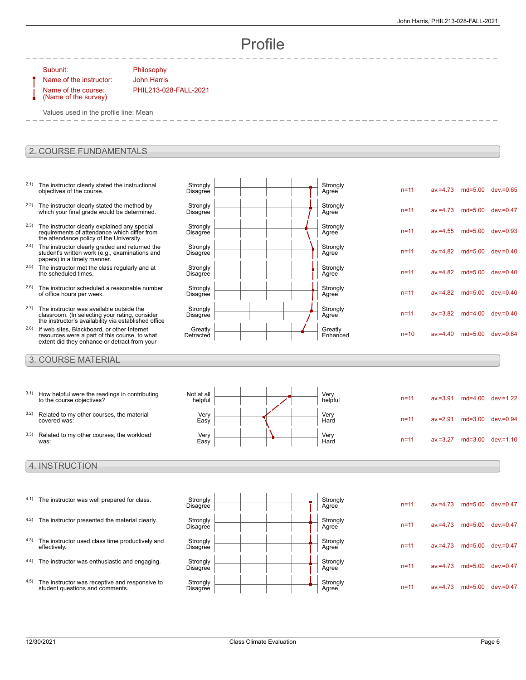n=11 av.=4.73 md=5.00 dev.=0.65

n=11 av.=4.73 md=5.00 dev.=0.47

n=11 av.=4.55 md=5.00 dev.=0.93

n=11 av.=4.82 md=5.00 dev.=0.40

n=11 av.=4.82 md=5.00 dev.=0.40

n=11 av.=4.82 md=5.00 dev.=0.40

n=11 av.=3.82 md=4.00 dev.=0.40

 $n=10$  av =4.40 md=5.00 dev.=0.84

n=11 av.=4.73 md=5.00 dev.=0.47

n=11 av.=4.73 md=5.00 dev.=0.47

n=11 av.=4.73 md=5.00 dev.=0.47

n=11 av.=4.73 md=5.00 dev.=0.47

# Profile

Strongly<br>Agree

Strongly<br>Agree

Strongly<br>Agree

Strongly<br>Agree

Strongly<br>Agree

Strongly<br>Agree

Strongly<br>Agree

Greatly<br>Enhanced

Subunit: Philosophy

Name of the instructor: John Harris Name of the course: (Name of the survey)

PHIL213-028-FALL-2021

**Strongly** Disagree

**Strongly Disagree** 

**Strongly Disagree** 

**Strongly Disagree** 

**Strongly Disagree** 

**Strongly Disagree** 

**Strongly Disagree** 

**Greatly** Detracted

Values used in the profile line: Mean

### 2. COURSE FUNDAMENTALS

- 2.1) The instructor clearly stated the instructional objectives of the course.
- <sup>2.2)</sup> The instructor clearly stated the method by which your final grade would be determined.
- <sup>2.3)</sup> The instructor clearly explained any special requirements of attendance which differ from the attendance policy of the University.
- <sup>2.4)</sup> The instructor clearly graded and returned the student's written work (e.g., examinations and papers) in a timely manner.
- 2.5) The instructor met the class regularly and at the scheduled times.
- 2.6) The instructor scheduled a reasonable number of office hours per week.
- 2.7) The instructor was available outside the classroom. (In selecting your rating, consider the instructor's availability via established office
- 2.8) If web sites, Blackboard, or other Internet resources were a part of this course, to what extent did they enhance or detract from your

### 3. COURSE MATERIAL

| 3.1) | How helpful were the readings in contributing<br>to the course objectives? | Not at all<br>helpful |  |  | Very<br>helpful | $n = 11$ | $av = 3.91$ | md=4.00 dev.=1.22     |
|------|----------------------------------------------------------------------------|-----------------------|--|--|-----------------|----------|-------------|-----------------------|
| 3.2) | Related to my other courses, the material<br>covered was:                  | Very<br>Easy          |  |  | Very<br>Hard    | $n = 11$ | $av = 2.91$ | $md=3.00$ dev $=0.94$ |
| 3.3) | Related to my other courses, the workload<br>was:                          | Verv<br>Easy          |  |  | Very<br>Hard    | $n = 11$ | $av = 3.27$ | $md=3.00$ dev $=1.10$ |

### 4. INSTRUCTION

- 4.1) The instructor was well prepared for class. Strongly
- 4.2) The instructor presented the material clearly. Strongly
- 4.3) The instructor used class time productively and effectively.
- 4.4) The instructor was enthusiastic and engaging. Strongly
- 4.5) The instructor was receptive and responsive to student questions and comments.



| 12/30/2021 |  |
|------------|--|
|------------|--|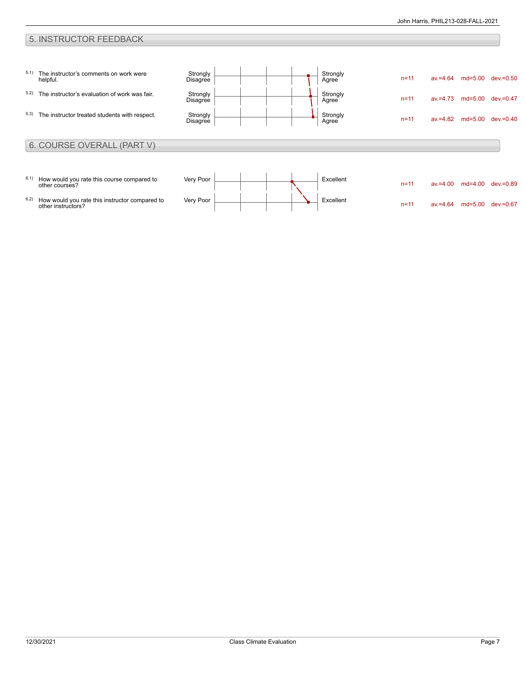## 5. INSTRUCTOR FEEDBACK

| 5.1) | The instructor's comments on work were<br>helpful.           | Strongly<br>Disagree |  |  | Strongly<br>Agree | $n = 11$ | $av = 4.64$ | $md=5.00$ | dev.=0.50    |
|------|--------------------------------------------------------------|----------------------|--|--|-------------------|----------|-------------|-----------|--------------|
| 5.2) | The instructor's evaluation of work was fair.                | Strongly<br>Disagree |  |  | Strongly<br>Agree | $n = 11$ | $av = 4.73$ | md=5.00   | $dev = 0.47$ |
| 5.3) | The instructor treated students with respect.                | Strongly<br>Disagree |  |  | Strongly<br>Agree | $n = 11$ | $av = 4.82$ | md=5.00   | $dev = 0.40$ |
|      |                                                              |                      |  |  |                   |          |             |           |              |
|      | 6. COURSE OVERALL (PART V)                                   |                      |  |  |                   |          |             |           |              |
| 6.1) | How would you rate this course compared to<br>other courses? | Very Poor            |  |  | Excellent         | $n = 11$ | $av = 4.00$ | $md=4.00$ | dev.=0.89    |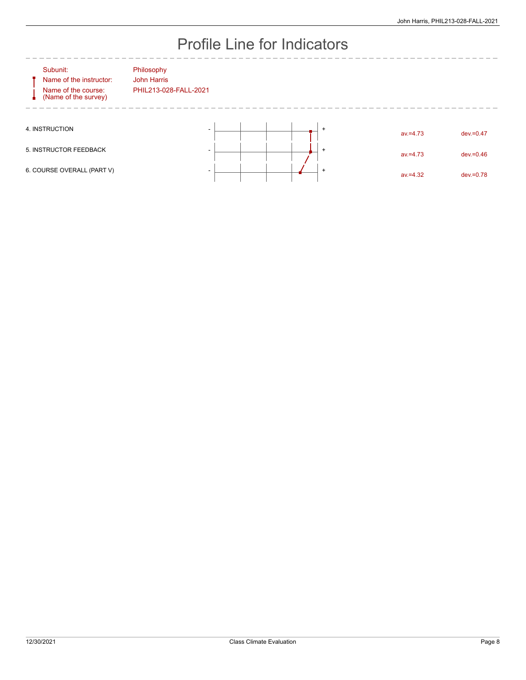# Profile Line for Indicators

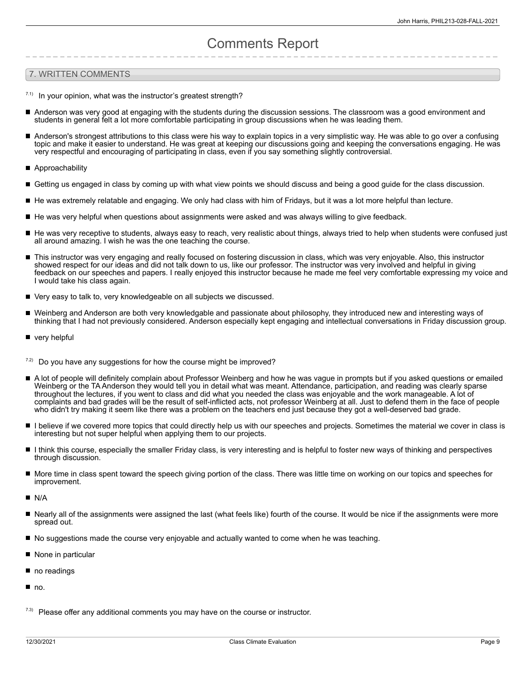# Comments Report

### 7. WRITTEN COMMENTS

- $17.1$  In your opinion, what was the instructor's greatest strength?
- Anderson was very good at engaging with the students during the discussion sessions. The classroom was a good environment and students in general felt a lot more comfortable participating in group discussions when he was leading them.
- Anderson's strongest attributions to this class were his way to explain topics in a very simplistic way. He was able to go over a confusing  $\blacksquare$ topic and make it easier to understand. He was great at keeping our discussions going and keeping the conversations engaging. He was very respectful and encouraging of participating in class, even if you say something slightly controversial.
- Approachability
- Getting us engaged in class by coming up with what view points we should discuss and being a good guide for the class discussion.
- He was extremely relatable and engaging. We only had class with him of Fridays, but it was a lot more helpful than lecture.
- He was very helpful when questions about assignments were asked and was always willing to give feedback.
- He was very receptive to students, always easy to reach, very realistic about things, always tried to help when students were confused just all around amazing. I wish he was the one teaching the course.
- This instructor was very engaging and really focused on fostering discussion in class, which was very enjoyable. Also, this instructor showed respect for our ideas and did not talk down to us, like our professor. The instructor was very involved and helpful in giving feedback on our speeches and papers. I really enjoyed this instructor because he made me feel very comfortable expressing my voice and I would take his class again.
- Very easy to talk to, very knowledgeable on all subjects we discussed.
- Weinberg and Anderson are both very knowledgable and passionate about philosophy, they introduced new and interesting ways of thinking that I had not previously considered. Anderson especially kept engaging and intellectual conversations in Friday discussion group.
- very helpful
- Do you have any suggestions for how the course might be improved?
- A lot of people will definitely complain about Professor Weinberg and how he was vague in prompts but if you asked questions or emailed Weinberg or the TA Anderson they would tell you in detail what was meant. Attendance, participation, and reading was clearly sparse throughout the lectures, if you went to class and did what you needed the class was enjoyable and the work manageable. A lot of complaints and bad grades will be the result of self-inflicted acts, not professor Weinberg at all. Just to defend them in the face of people who didn't try making it seem like there was a problem on the teachers end just because they got a well-deserved bad grade.
- I believe if we covered more topics that could directly help us with our speeches and projects. Sometimes the material we cover in class is П interesting but not super helpful when applying them to our projects.
- I think this course, especially the smaller Friday class, is very interesting and is helpful to foster new ways of thinking and perspectives through discussion.
- More time in class spent toward the speech giving portion of the class. There was little time on working on our topics and speeches for improvement.
- $N/A$
- Nearly all of the assignments were assigned the last (what feels like) fourth of the course. It would be nice if the assignments were more spread out.
- No suggestions made the course very enjoyable and actually wanted to come when he was teaching.
- None in particular
- ٦ no readings
- no.
- $7.3)$  Please offer any additional comments you may have on the course or instructor.